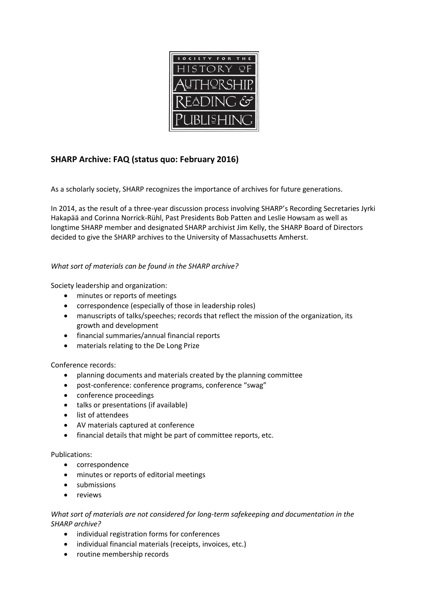

# **SHARP Archive: FAQ (status quo: February 2016)**

As a scholarly society, SHARP recognizes the importance of archives for future generations.

In 2014, as the result of a three-year discussion process involving SHARP's Recording Secretaries Jyrki Hakapää and Corinna Norrick-Rühl, Past Presidents Bob Patten and Leslie Howsam as well as longtime SHARP member and designated SHARP archivist Jim Kelly, the SHARP Board of Directors decided to give the SHARP archives to the University of Massachusetts Amherst.

# *What sort of materials can be found in the SHARP archive?*

Society leadership and organization:

- minutes or reports of meetings
- correspondence (especially of those in leadership roles)
- manuscripts of talks/speeches; records that reflect the mission of the organization, its growth and development
- financial summaries/annual financial reports
- materials relating to the De Long Prize

# Conference records:

- planning documents and materials created by the planning committee
- post-conference: conference programs, conference "swag"
- conference proceedings
- talks or presentations (if available)
- list of attendees
- AV materials captured at conference
- financial details that might be part of committee reports, etc.

#### Publications:

- correspondence
- minutes or reports of editorial meetings
- submissions
- reviews

## *What sort of materials are not considered for long-term safekeeping and documentation in the SHARP archive?*

- individual registration forms for conferences
- individual financial materials (receipts, invoices, etc.)
- routine membership records